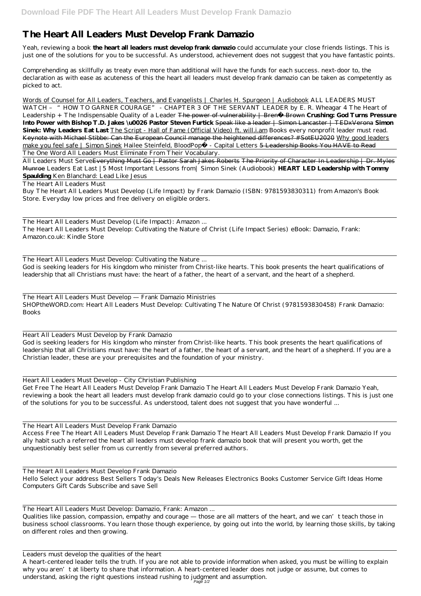## **The Heart All Leaders Must Develop Frank Damazio**

Yeah, reviewing a book **the heart all leaders must develop frank damazio** could accumulate your close friends listings. This is just one of the solutions for you to be successful. As understood, achievement does not suggest that you have fantastic points.

Comprehending as skillfully as treaty even more than additional will have the funds for each success. next-door to, the declaration as with ease as acuteness of this the heart all leaders must develop frank damazio can be taken as competently as picked to act.

Words of Counsel for All Leaders, Teachers, and Evangelists | Charles H. Spurgeon | Audiobook ALL LEADERS MUST WATCH - "HOW TO GARNER COURAGE" - CHAPTER 3 OF THE SERVANT LEADER by E. R. Wheagar 4 The Heart of Leadership + The Indispensable Quality of a Leader The power of vulnerability | Brené Brown **Crushing: God Turns Pressure Into Power with Bishop T.D. Jakes \u0026 Pastor Steven Furtick** Speak like a leader | Simon Lancaster | TEDxVerona **Simon Sinek: Why Leaders Eat Last** The Script - Hall of Fame (Official Video) ft. will.i.am *Books every nonprofit leader must read.* Keynote with Michael Stibbe: Can the European Council manage the heightened differences? #SotEU2020 Why good leaders make you feel safe | Simon Sinek Hailee Steinfeld, BloodPop® - Capital Letters 5 Leadership Books You HAVE to Read The One Word All Leaders Must Eliminate From Their Vocabulary.

All Leaders Must Serve<del>Everything Must Go | Pastor Sarah Jakes Roberts The Priority of Character In Leadership | Dr. Myles</del> Munroe *Leaders Eat Last |5 Most Important Lessons from| Simon Sinek (Audiobook)* **HEART LED Leadership with Tommy Spaulding** *Ken Blanchard: Lead Like Jesus*

## The Heart All Leaders Must

Buy The Heart All Leaders Must Develop (Life Impact) by Frank Damazio (ISBN: 9781593830311) from Amazon's Book Store. Everyday low prices and free delivery on eligible orders.

The Heart All Leaders Must Develop (Life Impact): Amazon ... The Heart All Leaders Must Develop: Cultivating the Nature of Christ (Life Impact Series) eBook: Damazio, Frank: Amazon.co.uk: Kindle Store

Qualities like passion, compassion, empathy and courage — those are all matters of the heart, and we can't teach those in business school classrooms. You learn those though experience, by going out into the world, by learning those skills, by taking on different roles and then growing.

The Heart All Leaders Must Develop: Cultivating the Nature ... God is seeking leaders for His kingdom who minister from Christ-like hearts. This book presents the heart qualifications of leadership that all Christians must have: the heart of a father, the heart of a servant, and the heart of a shepherd.

The Heart All Leaders Must Develop — Frank Damazio Ministries SHOPtheWORD.com: Heart All Leaders Must Develop: Cultivating The Nature Of Christ (9781593830458) Frank Damazio: Books

Heart All Leaders Must Develop by Frank Damazio

God is seeking leaders for His kingdom who minster from Christ-like hearts. This book presents the heart qualifications of leadership that all Christians must have: the heart of a father, the heart of a servant, and the heart of a shepherd. If you are a Christian leader, these are your prerequisites and the foundation of your ministry.

Heart All Leaders Must Develop - City Christian Publishing

Get Free The Heart All Leaders Must Develop Frank Damazio The Heart All Leaders Must Develop Frank Damazio Yeah, reviewing a book the heart all leaders must develop frank damazio could go to your close connections listings. This is just one of the solutions for you to be successful. As understood, talent does not suggest that you have wonderful ...

The Heart All Leaders Must Develop Frank Damazio

Access Free The Heart All Leaders Must Develop Frank Damazio The Heart All Leaders Must Develop Frank Damazio If you ally habit such a referred the heart all leaders must develop frank damazio book that will present you worth, get the unquestionably best seller from us currently from several preferred authors.

The Heart All Leaders Must Develop Frank Damazio Hello Select your address Best Sellers Today's Deals New Releases Electronics Books Customer Service Gift Ideas Home Computers Gift Cards Subscribe and save Sell

The Heart All Leaders Must Develop: Damazio, Frank: Amazon ...

Leaders must develop the qualities of the heart A heart-centered leader tells the truth. If you are not able to provide information when asked, you must be willing to explain why you aren't at liberty to share that information. A heart-centered leader does not judge or assume, but comes to understand, asking the right questions instead rushing to judgment and assumption. Page 1/2